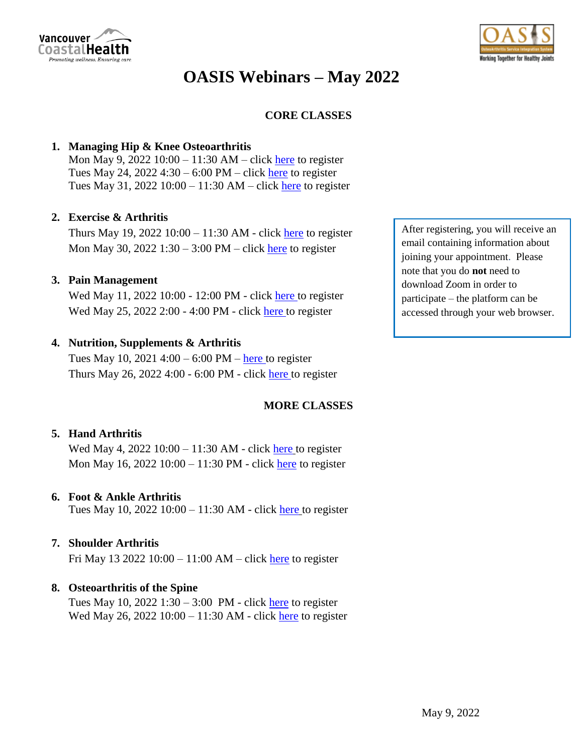

# **OASIS Webinars – May 2022**

## **CORE CLASSES**

## **1. Managing Hip & Knee Osteoarthritis**

Mon May 9, 2022  $10:00 - 11:30$  AM – click [here](https://vancouvercoastalhealth.zoom.us/webinar/register/WN_UO1cqnsxT_Ges_jtqJRmQw) to register Tues May 24,  $2022$  4:30 – 6:00 PM – click [here](https://vancouvercoastalhealth.zoom.us/webinar/register/WN_tRLnNg4QSISEWGRBdcu13A) to register Tues May 31, 2022  $10:00 - 11:30$  AM – click [here](https://vancouvercoastalhealth.zoom.us/webinar/register/WN_dDu1XIHUQoW-q6NQs18k3A) to register

## **2. Exercise & Arthritis**

Thurs May 19, 2022  $10:00 - 11:30$  AM - click [here](https://vancouvercoastalhealth.zoom.us/webinar/register/WN_ZtOvfzPDSSu7fD_H67D6ZA) to register Mon May 30, 2022  $1:30 - 3:00 \text{ PM} - \text{click}$  [here](https://vancouvercoastalhealth.zoom.us/webinar/register/WN_oKd_Jz3MQP6uuo98ldAJIQ) to register

## **3. Pain Management**

Wed May 11, 2022 10:00 - 12:00 PM - click [here](https://vancouvercoastalhealth.zoom.us/webinar/register/WN_KUk7hdl0RZyCDnFohpbLQw) to register Wed May 25, 2022 2:00 - 4:00 PM - click [here](https://vancouvercoastalhealth.zoom.us/webinar/register/WN_Cyp3AxW1Q1KErDIQ-0Gyqw) to register

## **4. Nutrition, Supplements & Arthritis**

Tues May 10, 2021  $4:00 - 6:00 \text{ PM} - \text{here}$  $4:00 - 6:00 \text{ PM} - \text{here}$  $4:00 - 6:00 \text{ PM} - \text{here}$  to register Thurs May 26, 2022 4:00 - 6:00 PM - click [here](https://vancouvercoastalhealth.zoom.us/webinar/register/WN_cP_ZX-mDQuKv3WdrmowCjw) to register

# **MORE CLASSES**

## **5. Hand Arthritis**

Wed May 4, 2022 10:00 – 11:30 AM - click [here](https://vancouvercoastalhealth.zoom.us/webinar/register/WN_beagQdX4QOSikNmbLgVegw) to register Mon May 16, 2022 10:00 – 11:30 PM - click [here](https://vancouvercoastalhealth.zoom.us/webinar/register/WN_JAfBwHuKRf22F4_IFFcUcQ) to register

#### **6. Foot & Ankle Arthritis**

Tues May 10, 2022 10:00 – 11:30 AM - click [here](https://vancouvercoastalhealth.zoom.us/webinar/register/WN_rD_rTVM6RtOz_a-DlwP8eg) to register

## **7. Shoulder Arthritis**

Fri May 13 2022 10:00 – 11:00 AM – click [here](https://vancouvercoastalhealth.zoom.us/webinar/register/WN_BNKWDJEkTwCVkfIE8xnQtw) to register

## **8. Osteoarthritis of the Spine**

Tues May 10,  $2022$  1:30 – 3:00 PM - click [here](https://vancouvercoastalhealth.zoom.us/webinar/register/WN_wcA-yPxCSAmXrWGIpAJH9Q) to register Wed May 26, 2022  $10:00 - 11:30$  AM - click [here](https://vancouvercoastalhealth.zoom.us/webinar/register/WN_l_YSuahXRfGDqqLau-b3_g) to register

After registering, you will receive an email containing information about joining your appointment. Please note that you do **not** need to download Zoom in order to participate – the platform can be accessed through your web browser.